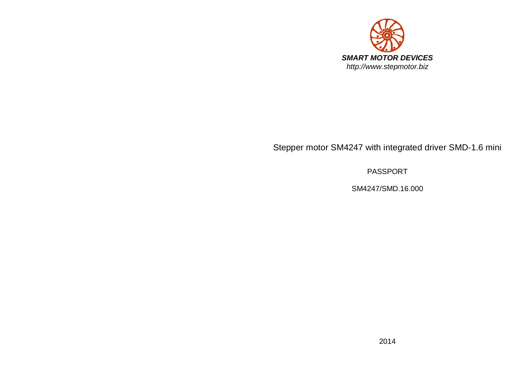

# Stepper motor SM4247 with integrated driver SMD-1.6 mini

PASSPORT

SM4247/SMD.16.000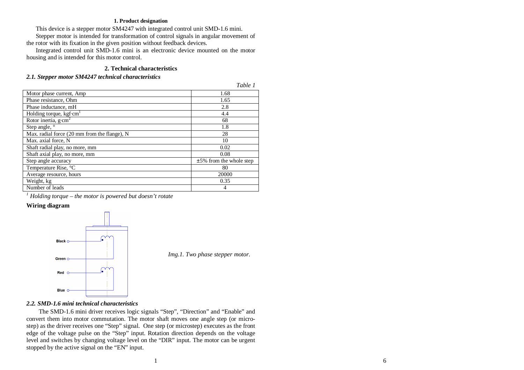#### **1. Product designation**

This device is a stepper motor SM4247 with integrated control unit SMD-1.6 mini.

Stepper motor is intended for transformation of control signals in angular movement of the rotor with its fixation in the given position without feedback devices.

Integrated control unit SMD-1.6 mini is an electronic device mounted on the motor housing and is intended for this motor control.

# **2. Technical characteristics**

#### *2.1. Stepper motor SM4247 technical characteristics*

|                                                    | Table 1                    |
|----------------------------------------------------|----------------------------|
| Motor phase current, Amp                           | 1.68                       |
| Phase resistance, Ohm                              | 1.65                       |
| Phase inductance, mH                               | 2.8                        |
| Holding torque, $kgf$ <sup>c</sup> cm <sup>1</sup> | 4.4                        |
| Rotor inertia, $g$ ·cm <sup>2</sup>                | 68                         |
| Step angle, °                                      | 1.8                        |
| Max. radial force (20 mm from the flange), N       | 28                         |
| Max. axial force, N                                | 10                         |
| Shaft radial play, no more, mm                     | 0.02                       |
| Shaft axial play, no more, mm                      | 0.08                       |
| Step angle accuracy                                | $±5\%$ from the whole step |
| Temperature Rise, °C                               | 80                         |
| Average resource, hours                            | 20000                      |
| Weight, kg                                         | 0.35                       |
| Number of leads                                    | 4                          |
|                                                    |                            |

*1 Holding torque – the motor is powered but doesn't rotate* 

# **Wiring diagram**



*Img.1. Two phase stepper motor.*

*Table 1* 

# *2.2. SMD-1.6 mini technical characteristics*

The SMD-1.6 mini driver receives logic signals "Step", "Direction" and "Enable" and convert them into motor commutation. The motor shaft moves one angle step (or microstep) as the driver receives one "Step" signal. One step (or microstep) executes as the front edge of the voltage pulse on the "Step" input. Rotation direction depends on the voltage level and switches by changing voltage level on the "DIR" input. The motor can be urgent stopped by the active signal on the "EN" input.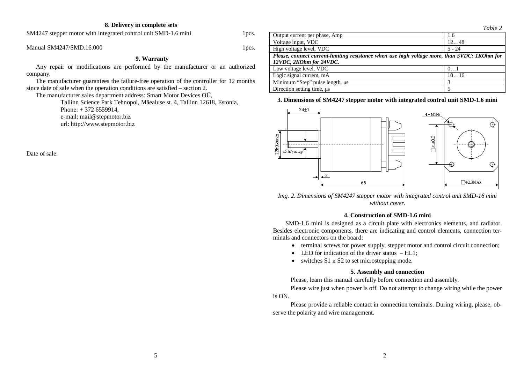#### **8. Delivery in complete sets**

SM4247 stepper motor with integrated control unit SMD-1.6 mini 1pcs.

Manual SM4247/SMD.16.000  $1$ pcs.

#### **9. Warranty**

Any repair or modifications are performed by the manufacturer or an authorized company.

The manufacturer guarantees the failure-free operation of the controller for 12 months since date of sale when the operation conditions are satisfied – section 2.

The manufacturer sales department address: Smart Motor Devices OÜ,

Tallinn Science Park Tehnopol, Mäealuse st. 4, Tallinn 12618, Estonia, Phone: + 372 6559914, e-mail: mail@stepmotor.biz url: http://www.stepmotor.biz

Date of sale:



### **3. Dimensions of SM4247 stepper motor with integrated control unit SMD-1.6 mini**



*Img. 2. Dimensions of SM4247 stepper motor with integrated control unit SMD-16 mini without cover.* 

#### **4. Construction of SMD-1.6 mini**

SMD-1.6 mini is designed as a circuit plate with electronics elements, and radiator. Besides electronic components, there are indicating and control elements, connection terminals and connectors on the board:

- terminal screws for power supply, stepper motor and control circuit connection;
- $\bullet$  LED for indication of the driver status HL1;
- $\bullet$  switches S1  $\mu$  S2 to set microstepping mode.

#### **5. Assembly and connection**

Please, learn this manual carefully before connection and assembly.

Please wire just when power is off. Do not attempt to change wiring while the power is ON.

Please provide a reliable contact in connection terminals. During wiring, please, observe the polarity and wire management.